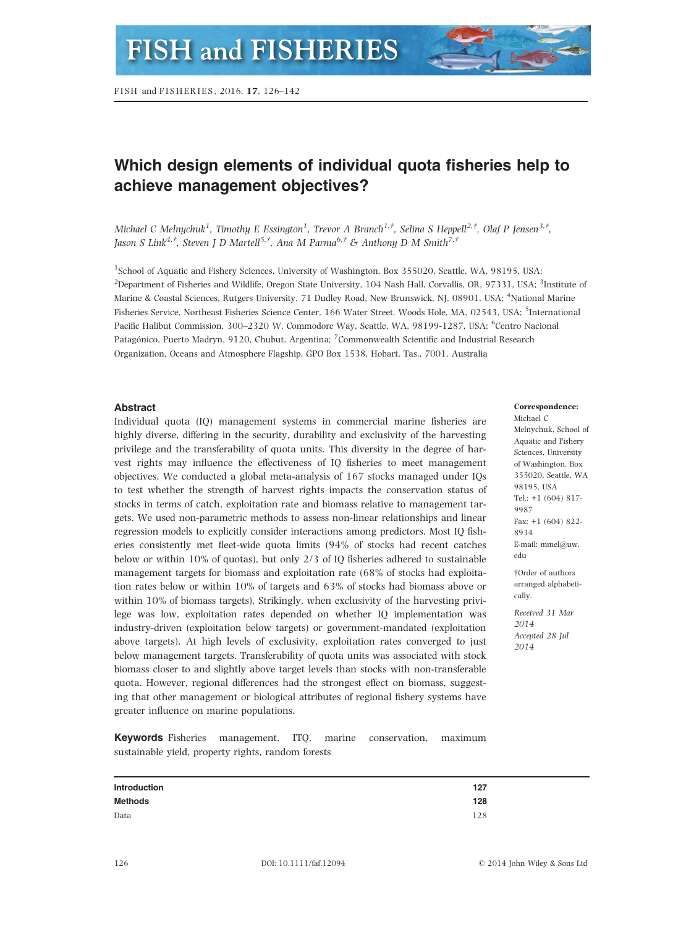# Which design elements of individual quota fisheries help to achieve management objectives?

Michael C Melnychuk<sup>1</sup>, Timothy E Essington<sup>1</sup>, Trevor A Branch<sup>1,†</sup>, Selina S Heppell<sup>2,†</sup>, Olaf P Jensen<sup>3,†</sup>, Jason S Link<sup>4,†</sup>, Steven J D Martell<sup>5,†</sup>, Ana M Parma<sup>6,†</sup> & Anthony D M Smith<sup>7,†</sup>

<sup>1</sup>School of Aquatic and Fishery Sciences, University of Washington, Box 355020, Seattle, WA, 98195, USA; <sup>2</sup>Department of Fisheries and Wildlife, Oregon State University, 104 Nash Hall, Corvallis, OR, 97331, USA; <sup>3</sup>Institute of Marine & Coastal Sciences, Rutgers University, 71 Dudley Road, New Brunswick, NJ, 08901, USA; <sup>4</sup>National Marine Fisheries Service, Northeast Fisheries Science Center, 166 Water Street, Woods Hole, MA, 02543, USA; <sup>5</sup>International Pacific Halibut Commission, 300–2320 W. Commodore Way, Seattle, WA, 98199-1287, USA; <sup>6</sup>Centro Nacional Patagónico, Puerto Madryn, 9120, Chubut, Argentina; <sup>7</sup>Commonwealth Scientific and Industrial Research Organization, Oceans and Atmosphere Flagship, GPO Box 1538, Hobart, Tas., 7001, Australia

#### Abstract

Individual quota (IQ) management systems in commercial marine fisheries are highly diverse, differing in the security, durability and exclusivity of the harvesting privilege and the transferability of quota units. This diversity in the degree of harvest rights may influence the effectiveness of IQ fisheries to meet management objectives. We conducted a global meta-analysis of 167 stocks managed under IQs to test whether the strength of harvest rights impacts the conservation status of stocks in terms of catch, exploitation rate and biomass relative to management targets. We used non-parametric methods to assess non-linear relationships and linear regression models to explicitly consider interactions among predictors. Most IQ fisheries consistently met fleet-wide quota limits (94% of stocks had recent catches below or within 10% of quotas), but only 2/3 of IQ fisheries adhered to sustainable management targets for biomass and exploitation rate (68% of stocks had exploitation rates below or within 10% of targets and 63% of stocks had biomass above or within 10% of biomass targets). Strikingly, when exclusivity of the harvesting privilege was low, exploitation rates depended on whether IQ implementation was industry-driven (exploitation below targets) or government-mandated (exploitation above targets). At high levels of exclusivity, exploitation rates converged to just below management targets. Transferability of quota units was associated with stock biomass closer to and slightly above target levels than stocks with non-transferable quota. However, regional differences had the strongest effect on biomass, suggesting that other management or biological attributes of regional fishery systems have greater influence on marine populations.

Correspondence: Michael C

Melnychuk, School of Aquatic and Fishery Sciences, University of Washington, Box 355020, Seattle, WA 98195, USA  $Tel: +1 (604) 817-$ 9987 Fax: +1 (604) 822- 8934 E-mail: mmel@uw. edu †Order of authors arranged alphabetically. Received 31 Mar 2014

Accepted 28 Jul 2014

Keywords Fisheries management, ITQ, marine conservation, maximum sustainable yield, property rights, random forests

| Introduction   | 127 |
|----------------|-----|
| <b>Methods</b> | 128 |
| Data           | 128 |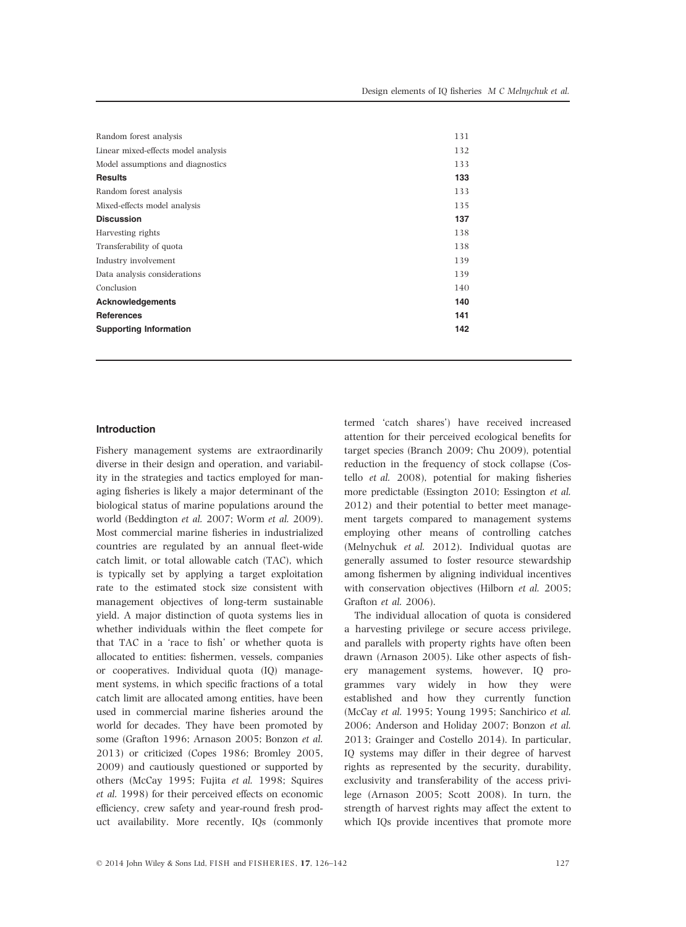| <b>Supporting Information</b>       | 142 |
|-------------------------------------|-----|
| <b>References</b>                   | 141 |
| <b>Acknowledgements</b>             | 140 |
| Conclusion                          | 140 |
| Data analysis considerations        | 139 |
| Industry involvement                | 139 |
| Transferability of quota            | 138 |
| Harvesting rights                   | 138 |
| <b>Discussion</b>                   | 137 |
| Mixed-effects model analysis        | 135 |
| Random forest analysis              | 133 |
| <b>Results</b>                      | 133 |
| Model assumptions and diagnostics   | 133 |
| Linear mixed-effects model analysis | 132 |
| Random forest analysis              | 131 |

## Introduction

Fishery management systems are extraordinarily diverse in their design and operation, and variability in the strategies and tactics employed for managing fisheries is likely a major determinant of the biological status of marine populations around the world (Beddington et al. 2007; Worm et al. 2009). Most commercial marine fisheries in industrialized countries are regulated by an annual fleet-wide catch limit, or total allowable catch (TAC), which is typically set by applying a target exploitation rate to the estimated stock size consistent with management objectives of long-term sustainable yield. A major distinction of quota systems lies in whether individuals within the fleet compete for that TAC in a 'race to fish' or whether quota is allocated to entities: fishermen, vessels, companies or cooperatives. Individual quota (IQ) management systems, in which specific fractions of a total catch limit are allocated among entities, have been used in commercial marine fisheries around the world for decades. They have been promoted by some (Grafton 1996; Arnason 2005; Bonzon et al. 2013) or criticized (Copes 1986; Bromley 2005, 2009) and cautiously questioned or supported by others (McCay 1995; Fujita et al. 1998; Squires et al. 1998) for their perceived effects on economic efficiency, crew safety and year-round fresh product availability. More recently, IQs (commonly termed 'catch shares') have received increased attention for their perceived ecological benefits for target species (Branch 2009; Chu 2009), potential reduction in the frequency of stock collapse (Costello et al. 2008), potential for making fisheries more predictable (Essington 2010; Essington et al. 2012) and their potential to better meet management targets compared to management systems employing other means of controlling catches (Melnychuk et al. 2012). Individual quotas are generally assumed to foster resource stewardship among fishermen by aligning individual incentives with conservation objectives (Hilborn et al. 2005; Grafton et al. 2006).

The individual allocation of quota is considered a harvesting privilege or secure access privilege, and parallels with property rights have often been drawn (Arnason 2005). Like other aspects of fishery management systems, however, IQ programmes vary widely in how they were established and how they currently function (McCay et al. 1995; Young 1995; Sanchirico et al. 2006; Anderson and Holiday 2007; Bonzon et al. 2013; Grainger and Costello 2014). In particular, IQ systems may differ in their degree of harvest rights as represented by the security, durability, exclusivity and transferability of the access privilege (Arnason 2005; Scott 2008). In turn, the strength of harvest rights may affect the extent to which IQs provide incentives that promote more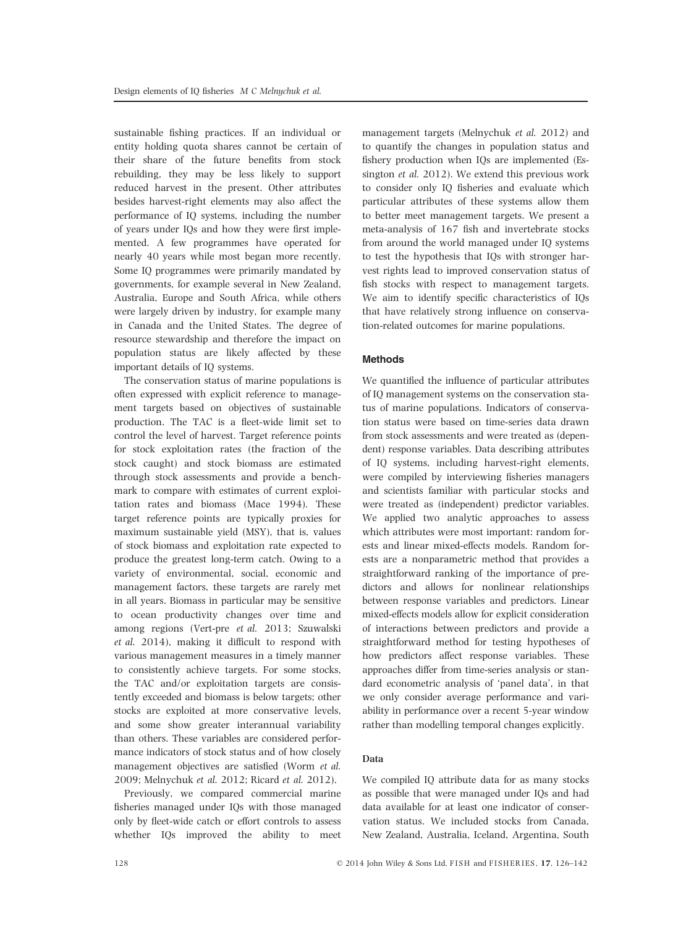sustainable fishing practices. If an individual or entity holding quota shares cannot be certain of their share of the future benefits from stock rebuilding, they may be less likely to support reduced harvest in the present. Other attributes besides harvest-right elements may also affect the performance of IQ systems, including the number of years under IQs and how they were first implemented. A few programmes have operated for nearly 40 years while most began more recently. Some IQ programmes were primarily mandated by governments, for example several in New Zealand, Australia, Europe and South Africa, while others were largely driven by industry, for example many in Canada and the United States. The degree of resource stewardship and therefore the impact on population status are likely affected by these important details of IQ systems.

The conservation status of marine populations is often expressed with explicit reference to management targets based on objectives of sustainable production. The TAC is a fleet-wide limit set to control the level of harvest. Target reference points for stock exploitation rates (the fraction of the stock caught) and stock biomass are estimated through stock assessments and provide a benchmark to compare with estimates of current exploitation rates and biomass (Mace 1994). These target reference points are typically proxies for maximum sustainable yield (MSY), that is, values of stock biomass and exploitation rate expected to produce the greatest long-term catch. Owing to a variety of environmental, social, economic and management factors, these targets are rarely met in all years. Biomass in particular may be sensitive to ocean productivity changes over time and among regions (Vert-pre et al. 2013; Szuwalski et al. 2014), making it difficult to respond with various management measures in a timely manner to consistently achieve targets. For some stocks, the TAC and/or exploitation targets are consistently exceeded and biomass is below targets; other stocks are exploited at more conservative levels, and some show greater interannual variability than others. These variables are considered performance indicators of stock status and of how closely management objectives are satisfied (Worm et al. 2009; Melnychuk et al. 2012; Ricard et al. 2012).

Previously, we compared commercial marine fisheries managed under IQs with those managed only by fleet-wide catch or effort controls to assess whether IQs improved the ability to meet

management targets (Melnychuk et al. 2012) and to quantify the changes in population status and fishery production when IQs are implemented (Essington et al. 2012). We extend this previous work to consider only IQ fisheries and evaluate which particular attributes of these systems allow them to better meet management targets. We present a meta-analysis of 167 fish and invertebrate stocks from around the world managed under IQ systems to test the hypothesis that IQs with stronger harvest rights lead to improved conservation status of fish stocks with respect to management targets. We aim to identify specific characteristics of IQs that have relatively strong influence on conservation-related outcomes for marine populations.

# Methods

We quantified the influence of particular attributes of IQ management systems on the conservation status of marine populations. Indicators of conservation status were based on time-series data drawn from stock assessments and were treated as (dependent) response variables. Data describing attributes of IQ systems, including harvest-right elements, were compiled by interviewing fisheries managers and scientists familiar with particular stocks and were treated as (independent) predictor variables. We applied two analytic approaches to assess which attributes were most important: random forests and linear mixed-effects models. Random forests are a nonparametric method that provides a straightforward ranking of the importance of predictors and allows for nonlinear relationships between response variables and predictors. Linear mixed-effects models allow for explicit consideration of interactions between predictors and provide a straightforward method for testing hypotheses of how predictors affect response variables. These approaches differ from time-series analysis or standard econometric analysis of 'panel data', in that we only consider average performance and variability in performance over a recent 5-year window rather than modelling temporal changes explicitly.

## Data

We compiled IQ attribute data for as many stocks as possible that were managed under IQs and had data available for at least one indicator of conservation status. We included stocks from Canada, New Zealand, Australia, Iceland, Argentina, South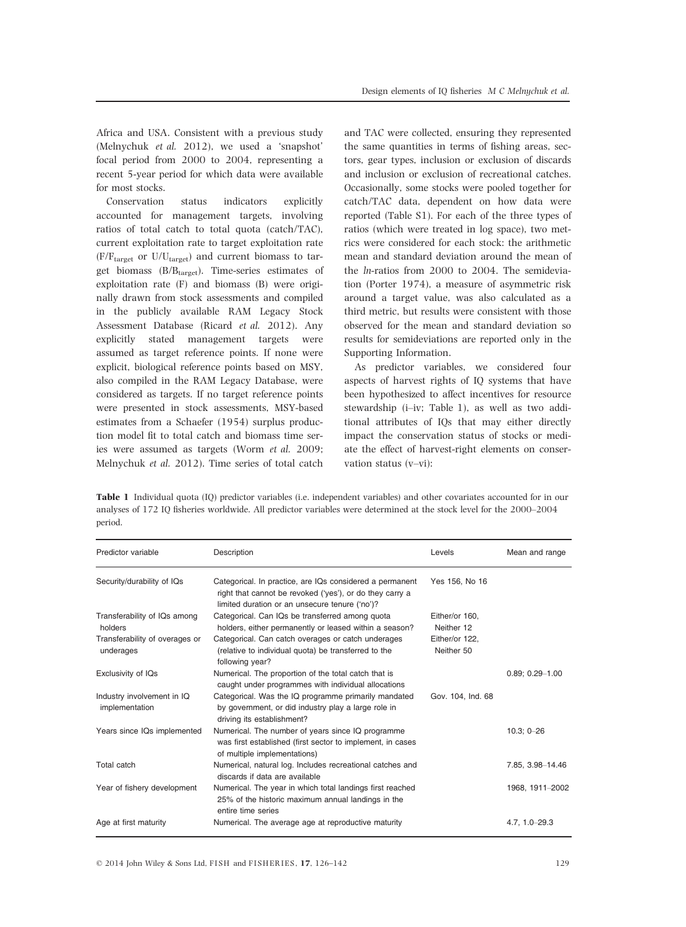Africa and USA. Consistent with a previous study (Melnychuk et al. 2012), we used a 'snapshot' focal period from 2000 to 2004, representing a recent 5-year period for which data were available for most stocks.

Conservation status indicators explicitly accounted for management targets, involving ratios of total catch to total quota (catch/TAC), current exploitation rate to target exploitation rate  $(F/F<sub>target</sub>$  or  $U/U<sub>target</sub>)$  and current biomass to target biomass (B/B<sub>target</sub>). Time-series estimates of exploitation rate (F) and biomass (B) were originally drawn from stock assessments and compiled in the publicly available RAM Legacy Stock Assessment Database (Ricard et al. 2012). Any explicitly stated management targets were assumed as target reference points. If none were explicit, biological reference points based on MSY, also compiled in the RAM Legacy Database, were considered as targets. If no target reference points were presented in stock assessments, MSY-based estimates from a Schaefer (1954) surplus production model fit to total catch and biomass time series were assumed as targets (Worm et al. 2009; Melnychuk et al. 2012). Time series of total catch

and TAC were collected, ensuring they represented the same quantities in terms of fishing areas, sectors, gear types, inclusion or exclusion of discards and inclusion or exclusion of recreational catches. Occasionally, some stocks were pooled together for catch/TAC data, dependent on how data were reported (Table S1). For each of the three types of ratios (which were treated in log space), two metrics were considered for each stock: the arithmetic mean and standard deviation around the mean of the ln-ratios from 2000 to 2004. The semideviation (Porter 1974), a measure of asymmetric risk around a target value, was also calculated as a third metric, but results were consistent with those observed for the mean and standard deviation so results for semideviations are reported only in the Supporting Information.

As predictor variables, we considered four aspects of harvest rights of IQ systems that have been hypothesized to affect incentives for resource stewardship (i–iv; Table 1), as well as two additional attributes of IQs that may either directly impact the conservation status of stocks or mediate the effect of harvest-right elements on conservation status (v–vi):

Table 1 Individual quota (IQ) predictor variables (i.e. independent variables) and other covariates accounted for in our analyses of 172 IQ fisheries worldwide. All predictor variables were determined at the stock level for the 2000–2004 period.

| Predictor variable                           | Description                                                                                                                                                            | Levels                       | Mean and range      |  |  |  |
|----------------------------------------------|------------------------------------------------------------------------------------------------------------------------------------------------------------------------|------------------------------|---------------------|--|--|--|
| Security/durability of IQs                   | Categorical. In practice, are IQs considered a permanent<br>right that cannot be revoked ('yes'), or do they carry a<br>limited duration or an unsecure tenure ('no')? | Yes 156, No 16               |                     |  |  |  |
| Transferability of IQs among<br>holders      | Categorical. Can IQs be transferred among quota<br>holders, either permanently or leased within a season?                                                              | Either/or 160,<br>Neither 12 |                     |  |  |  |
| Transferability of overages or<br>underages  | Categorical. Can catch overages or catch underages<br>(relative to individual quota) be transferred to the<br>following year?                                          | Either/or 122,<br>Neither 50 |                     |  |  |  |
| Exclusivity of IQs                           | Numerical. The proportion of the total catch that is<br>caught under programmes with individual allocations                                                            |                              | $0.89; 0.29 - 1.00$ |  |  |  |
| Industry involvement in IQ<br>implementation | Categorical. Was the IQ programme primarily mandated<br>by government, or did industry play a large role in<br>driving its establishment?                              | Gov. 104, Ind. 68            |                     |  |  |  |
| Years since IQs implemented                  | Numerical. The number of years since IQ programme<br>was first established (first sector to implement, in cases<br>of multiple implementations)                        |                              | $10.3; 0 - 26$      |  |  |  |
| Total catch                                  | Numerical, natural log. Includes recreational catches and<br>discards if data are available                                                                            |                              | 7.85, 3.98-14.46    |  |  |  |
| Year of fishery development                  | Numerical. The year in which total landings first reached<br>25% of the historic maximum annual landings in the<br>entire time series                                  |                              | 1968, 1911-2002     |  |  |  |
| Age at first maturity                        | Numerical. The average age at reproductive maturity                                                                                                                    |                              | 4.7, 1.0–29.3       |  |  |  |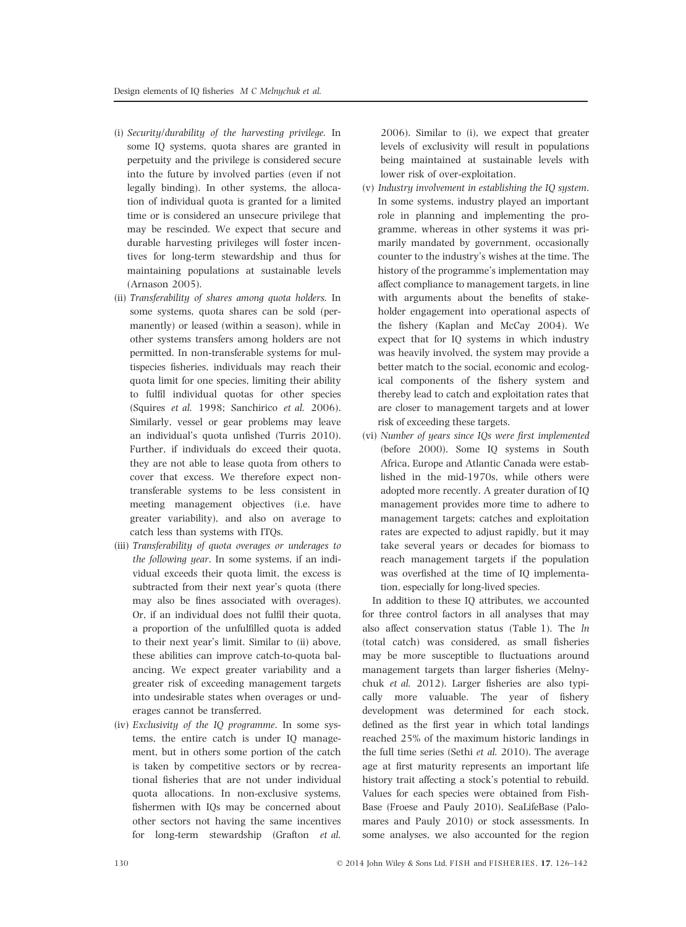- (i) Security/durability of the harvesting privilege. In some IQ systems, quota shares are granted in perpetuity and the privilege is considered secure into the future by involved parties (even if not legally binding). In other systems, the allocation of individual quota is granted for a limited time or is considered an unsecure privilege that may be rescinded. We expect that secure and durable harvesting privileges will foster incentives for long-term stewardship and thus for maintaining populations at sustainable levels (Arnason 2005).
- (ii) Transferability of shares among quota holders. In some systems, quota shares can be sold (permanently) or leased (within a season), while in other systems transfers among holders are not permitted. In non-transferable systems for multispecies fisheries, individuals may reach their quota limit for one species, limiting their ability to fulfil individual quotas for other species (Squires et al. 1998; Sanchirico et al. 2006). Similarly, vessel or gear problems may leave an individual's quota unfished (Turris 2010). Further, if individuals do exceed their quota, they are not able to lease quota from others to cover that excess. We therefore expect nontransferable systems to be less consistent in meeting management objectives (i.e. have greater variability), and also on average to catch less than systems with ITQs.
- (iii) Transferability of quota overages or underages to the following year. In some systems, if an individual exceeds their quota limit, the excess is subtracted from their next year's quota (there may also be fines associated with overages). Or, if an individual does not fulfil their quota, a proportion of the unfulfilled quota is added to their next year's limit. Similar to (ii) above, these abilities can improve catch-to-quota balancing. We expect greater variability and a greater risk of exceeding management targets into undesirable states when overages or underages cannot be transferred.
- (iv) Exclusivity of the IQ programme. In some systems, the entire catch is under IQ management, but in others some portion of the catch is taken by competitive sectors or by recreational fisheries that are not under individual quota allocations. In non-exclusive systems, fishermen with IQs may be concerned about other sectors not having the same incentives for long-term stewardship (Grafton et al.

2006). Similar to (i), we expect that greater levels of exclusivity will result in populations being maintained at sustainable levels with lower risk of over-exploitation.

- (v) Industry involvement in establishing the IQ system. In some systems, industry played an important role in planning and implementing the programme, whereas in other systems it was primarily mandated by government, occasionally counter to the industry's wishes at the time. The history of the programme's implementation may affect compliance to management targets, in line with arguments about the benefits of stakeholder engagement into operational aspects of the fishery (Kaplan and McCay 2004). We expect that for IQ systems in which industry was heavily involved, the system may provide a better match to the social, economic and ecological components of the fishery system and thereby lead to catch and exploitation rates that are closer to management targets and at lower risk of exceeding these targets.
- (vi) Number of years since IQs were first implemented (before 2000). Some IQ systems in South Africa, Europe and Atlantic Canada were established in the mid-1970s, while others were adopted more recently. A greater duration of IQ management provides more time to adhere to management targets; catches and exploitation rates are expected to adjust rapidly, but it may take several years or decades for biomass to reach management targets if the population was overfished at the time of IQ implementation, especially for long-lived species.

In addition to these IQ attributes, we accounted for three control factors in all analyses that may also affect conservation status (Table 1). The ln (total catch) was considered, as small fisheries may be more susceptible to fluctuations around management targets than larger fisheries (Melnychuk et al. 2012). Larger fisheries are also typically more valuable. The year of fishery development was determined for each stock, defined as the first year in which total landings reached 25% of the maximum historic landings in the full time series (Sethi et al. 2010). The average age at first maturity represents an important life history trait affecting a stock's potential to rebuild. Values for each species were obtained from Fish-Base (Froese and Pauly 2010), SeaLifeBase (Palomares and Pauly 2010) or stock assessments. In some analyses, we also accounted for the region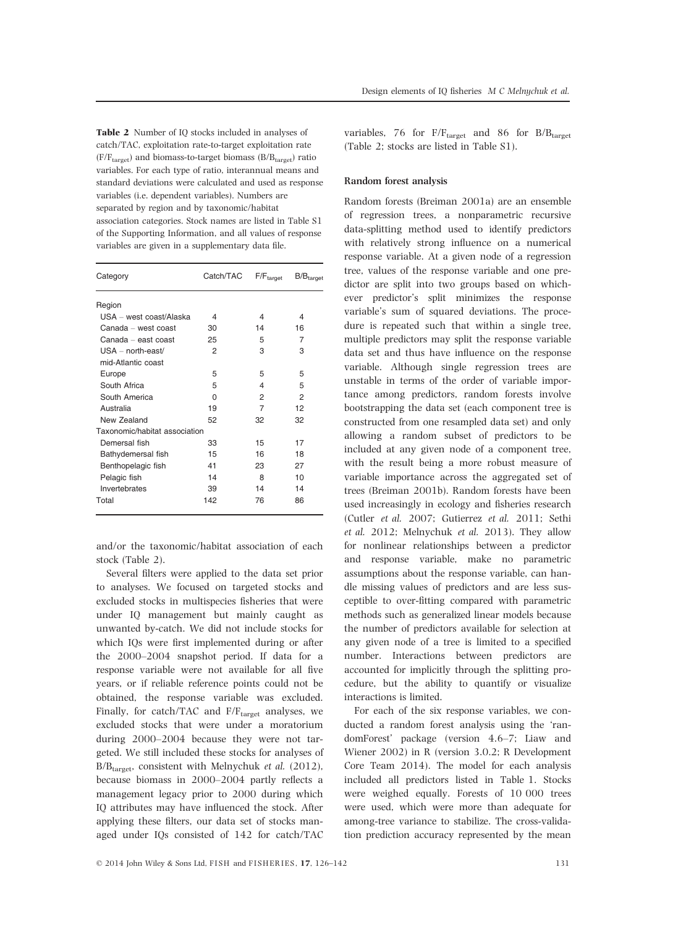Table 2 Number of IO stocks included in analyses of catch/TAC, exploitation rate-to-target exploitation rate  $(F/F<sub>target</sub>)$  and biomass-to-target biomass  $(B/B<sub>target</sub>)$  ratio variables. For each type of ratio, interannual means and standard deviations were calculated and used as response variables (i.e. dependent variables). Numbers are separated by region and by taxonomic/habitat association categories. Stock names are listed in Table S1 of the Supporting Information, and all values of response variables are given in a supplementary data file.

| Category                      | Catch/TAC | $\mathsf{F}/\mathsf{F}_\mathsf{target}$ | B/B <sub>target</sub> |
|-------------------------------|-----------|-----------------------------------------|-----------------------|
| Region                        |           |                                         |                       |
| USA – west coast/Alaska       | 4         | 4                                       | 4                     |
| Canada – west coast           | 30        | 14                                      | 16                    |
| Canada – east coast           | 25        | 5                                       | 7                     |
| $USA - north-east/$           | 2         | 3                                       | 3                     |
| mid-Atlantic coast            |           |                                         |                       |
| Europe                        | 5         | 5                                       | 5                     |
| South Africa                  | 5         | 4                                       | 5                     |
| South America                 | O         | 2                                       | 2                     |
| Australia                     | 19        | $\overline{7}$                          | 12                    |
| New Zealand                   | 52        | 32                                      | 32                    |
| Taxonomic/habitat association |           |                                         |                       |
| Demersal fish                 | 33        | 15                                      | 17                    |
| Bathydemersal fish            | 15        | 16                                      | 18                    |
| Benthopelagic fish            | 41        | 23                                      | 27                    |
| Pelagic fish                  | 14        | 8                                       | 10                    |
| Invertebrates                 | 39        | 14                                      | 14                    |
| Total                         | 142       | 76                                      | 86                    |

and/or the taxonomic/habitat association of each stock (Table 2).

Several filters were applied to the data set prior to analyses. We focused on targeted stocks and excluded stocks in multispecies fisheries that were under IQ management but mainly caught as unwanted by-catch. We did not include stocks for which IQs were first implemented during or after the 2000–2004 snapshot period. If data for a response variable were not available for all five years, or if reliable reference points could not be obtained, the response variable was excluded. Finally, for catch/TAC and  $F/F_{\text{target}}$  analyses, we excluded stocks that were under a moratorium during 2000–2004 because they were not targeted. We still included these stocks for analyses of  $B/B<sub>target</sub>$ , consistent with Melnychuk et al. (2012), because biomass in 2000–2004 partly reflects a management legacy prior to 2000 during which IQ attributes may have influenced the stock. After applying these filters, our data set of stocks managed under IQs consisted of 142 for catch/TAC

variables, 76 for  $F/F_{\text{target}}$  and 86 for  $B/B_{\text{target}}$ (Table 2; stocks are listed in Table S1).

#### Random forest analysis

Random forests (Breiman 2001a) are an ensemble of regression trees, a nonparametric recursive data-splitting method used to identify predictors with relatively strong influence on a numerical response variable. At a given node of a regression tree, values of the response variable and one predictor are split into two groups based on whichever predictor's split minimizes the response variable's sum of squared deviations. The procedure is repeated such that within a single tree, multiple predictors may split the response variable data set and thus have influence on the response variable. Although single regression trees are unstable in terms of the order of variable importance among predictors, random forests involve bootstrapping the data set (each component tree is constructed from one resampled data set) and only allowing a random subset of predictors to be included at any given node of a component tree, with the result being a more robust measure of variable importance across the aggregated set of trees (Breiman 2001b). Random forests have been used increasingly in ecology and fisheries research (Cutler et al. 2007; Gutierrez et al. 2011; Sethi et al. 2012; Melnychuk et al. 2013). They allow for nonlinear relationships between a predictor and response variable, make no parametric assumptions about the response variable, can handle missing values of predictors and are less susceptible to over-fitting compared with parametric methods such as generalized linear models because the number of predictors available for selection at any given node of a tree is limited to a specified number. Interactions between predictors are accounted for implicitly through the splitting procedure, but the ability to quantify or visualize interactions is limited.

For each of the six response variables, we conducted a random forest analysis using the 'randomForest' package (version 4.6–7; Liaw and Wiener 2002) in R (version 3.0.2; R Development Core Team 2014). The model for each analysis included all predictors listed in Table 1. Stocks were weighed equally. Forests of 10 000 trees were used, which were more than adequate for among-tree variance to stabilize. The cross-validation prediction accuracy represented by the mean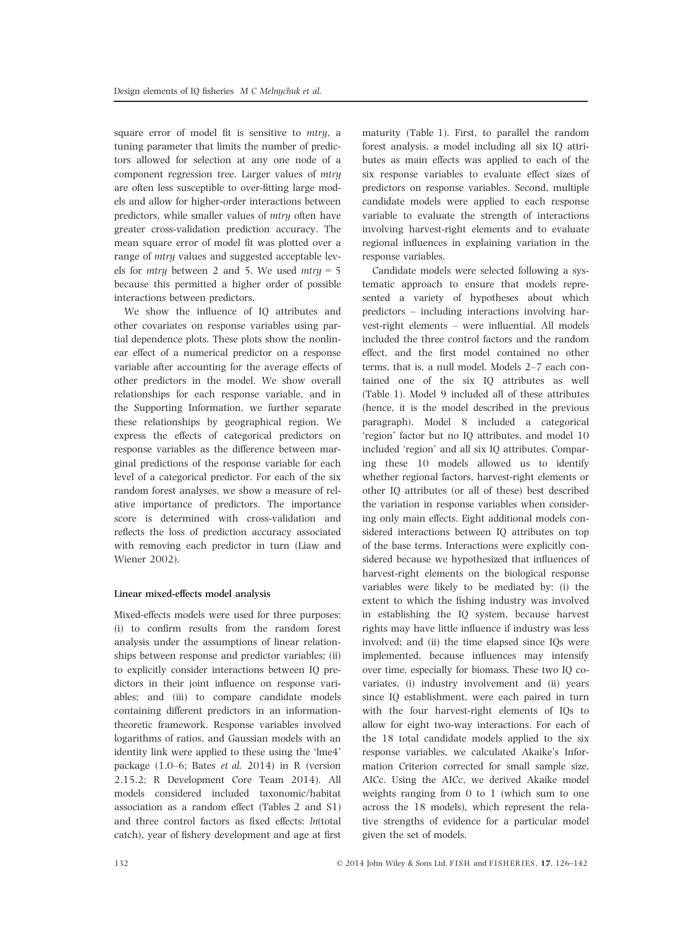square error of model fit is sensitive to mtry, a tuning parameter that limits the number of predictors allowed for selection at any one node of a component regression tree. Larger values of mtry are often less susceptible to over-fitting large models and allow for higher-order interactions between predictors, while smaller values of mtry often have greater cross-validation prediction accuracy. The mean square error of model fit was plotted over a range of mtry values and suggested acceptable levels for *mtry* between 2 and 5. We used  $mtry = 5$ because this permitted a higher order of possible interactions between predictors.

We show the influence of IQ attributes and other covariates on response variables using partial dependence plots. These plots show the nonlinear effect of a numerical predictor on a response variable after accounting for the average effects of other predictors in the model. We show overall relationships for each response variable, and in the Supporting Information, we further separate these relationships by geographical region. We express the effects of categorical predictors on response variables as the difference between marginal predictions of the response variable for each level of a categorical predictor. For each of the six random forest analyses, we show a measure of relative importance of predictors. The importance score is determined with cross-validation and reflects the loss of prediction accuracy associated with removing each predictor in turn (Liaw and Wiener 2002).

## Linear mixed-effects model analysis

Mixed-effects models were used for three purposes: (i) to confirm results from the random forest analysis under the assumptions of linear relationships between response and predictor variables; (ii) to explicitly consider interactions between IQ predictors in their joint influence on response variables; and (iii) to compare candidate models containing different predictors in an informationtheoretic framework. Response variables involved logarithms of ratios, and Gaussian models with an identity link were applied to these using the 'lme4' package (1.0–6; Bates et al. 2014) in R (version 2.15.2; R Development Core Team 2014). All models considered included taxonomic/habitat association as a random effect (Tables 2 and S1) and three control factors as fixed effects: ln(total catch), year of fishery development and age at first

maturity (Table 1). First, to parallel the random forest analysis, a model including all six IQ attributes as main effects was applied to each of the six response variables to evaluate effect sizes of predictors on response variables. Second, multiple candidate models were applied to each response variable to evaluate the strength of interactions involving harvest-right elements and to evaluate regional influences in explaining variation in the response variables.

Candidate models were selected following a systematic approach to ensure that models represented a variety of hypotheses about which predictors – including interactions involving harvest-right elements – were influential. All models included the three control factors and the random effect, and the first model contained no other terms, that is, a null model. Models 2–7 each contained one of the six IQ attributes as well (Table 1). Model 9 included all of these attributes (hence, it is the model described in the previous paragraph). Model 8 included a categorical 'region' factor but no IQ attributes, and model 10 included 'region' and all six IQ attributes. Comparing these 10 models allowed us to identify whether regional factors, harvest-right elements or other IQ attributes (or all of these) best described the variation in response variables when considering only main effects. Eight additional models considered interactions between IQ attributes on top of the base terms. Interactions were explicitly considered because we hypothesized that influences of harvest-right elements on the biological response variables were likely to be mediated by: (i) the extent to which the fishing industry was involved in establishing the IQ system, because harvest rights may have little influence if industry was less involved; and (ii) the time elapsed since IQs were implemented, because influences may intensify over time, especially for biomass. These two IQ covariates, (i) industry involvement and (ii) years since IQ establishment, were each paired in turn with the four harvest-right elements of IQs to allow for eight two-way interactions. For each of the 18 total candidate models applied to the six response variables, we calculated Akaike's Information Criterion corrected for small sample size, AICc. Using the AICc, we derived Akaike model weights ranging from 0 to 1 (which sum to one across the 18 models), which represent the relative strengths of evidence for a particular model given the set of models.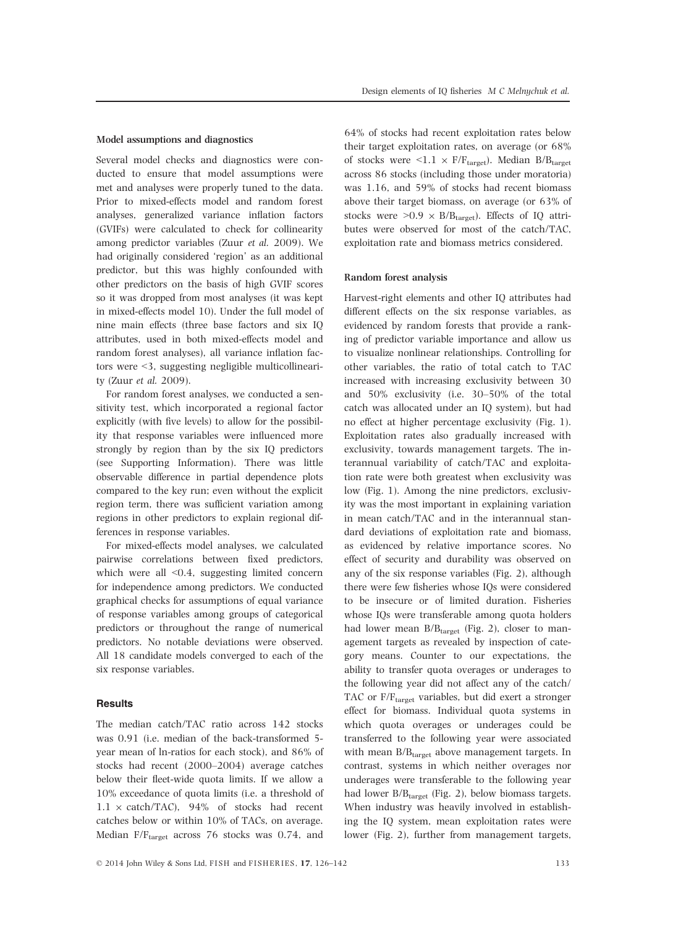## Model assumptions and diagnostics

Several model checks and diagnostics were conducted to ensure that model assumptions were met and analyses were properly tuned to the data. Prior to mixed-effects model and random forest analyses, generalized variance inflation factors (GVIFs) were calculated to check for collinearity among predictor variables (Zuur et al. 2009). We had originally considered 'region' as an additional predictor, but this was highly confounded with other predictors on the basis of high GVIF scores so it was dropped from most analyses (it was kept in mixed-effects model 10). Under the full model of nine main effects (three base factors and six IQ attributes, used in both mixed-effects model and random forest analyses), all variance inflation factors were <3, suggesting negligible multicollinearity (Zuur et al. 2009).

For random forest analyses, we conducted a sensitivity test, which incorporated a regional factor explicitly (with five levels) to allow for the possibility that response variables were influenced more strongly by region than by the six IQ predictors (see Supporting Information). There was little observable difference in partial dependence plots compared to the key run; even without the explicit region term, there was sufficient variation among regions in other predictors to explain regional differences in response variables.

For mixed-effects model analyses, we calculated pairwise correlations between fixed predictors, which were all <0.4, suggesting limited concern for independence among predictors. We conducted graphical checks for assumptions of equal variance of response variables among groups of categorical predictors or throughout the range of numerical predictors. No notable deviations were observed. All 18 candidate models converged to each of the six response variables.

## **Results**

The median catch/TAC ratio across 142 stocks was 0.91 (i.e. median of the back-transformed 5 year mean of ln-ratios for each stock), and 86% of stocks had recent (2000–2004) average catches below their fleet-wide quota limits. If we allow a 10% exceedance of quota limits (i.e. a threshold of  $1.1 \times \text{catch/TAC}$ , 94% of stocks had recent catches below or within 10% of TACs, on average. Median F/ $F_{\text{target}}$  across 76 stocks was 0.74, and

64% of stocks had recent exploitation rates below their target exploitation rates, on average (or 68% of stocks were <1.1  $\times$  F/F<sub>target</sub>). Median B/B<sub>target</sub> across 86 stocks (including those under moratoria) was 1.16, and 59% of stocks had recent biomass above their target biomass, on average (or 63% of stocks were  $>0.9 \times B/B_{\text{target}}$ ). Effects of IQ attributes were observed for most of the catch/TAC, exploitation rate and biomass metrics considered.

#### Random forest analysis

Harvest-right elements and other IQ attributes had different effects on the six response variables, as evidenced by random forests that provide a ranking of predictor variable importance and allow us to visualize nonlinear relationships. Controlling for other variables, the ratio of total catch to TAC increased with increasing exclusivity between 30 and 50% exclusivity (i.e. 30–50% of the total catch was allocated under an IQ system), but had no effect at higher percentage exclusivity (Fig. 1). Exploitation rates also gradually increased with exclusivity, towards management targets. The interannual variability of catch/TAC and exploitation rate were both greatest when exclusivity was low (Fig. 1). Among the nine predictors, exclusivity was the most important in explaining variation in mean catch/TAC and in the interannual standard deviations of exploitation rate and biomass, as evidenced by relative importance scores. No effect of security and durability was observed on any of the six response variables (Fig. 2), although there were few fisheries whose IQs were considered to be insecure or of limited duration. Fisheries whose IQs were transferable among quota holders had lower mean  $B/B_{\text{target}}$  (Fig. 2), closer to management targets as revealed by inspection of category means. Counter to our expectations, the ability to transfer quota overages or underages to the following year did not affect any of the catch/ TAC or  $F/F<sub>target</sub>$  variables, but did exert a stronger effect for biomass. Individual quota systems in which quota overages or underages could be transferred to the following year were associated with mean  $B/B<sub>target</sub>$  above management targets. In contrast, systems in which neither overages nor underages were transferable to the following year had lower  $B/B<sub>target</sub>$  (Fig. 2), below biomass targets. When industry was heavily involved in establishing the IQ system, mean exploitation rates were lower (Fig. 2), further from management targets,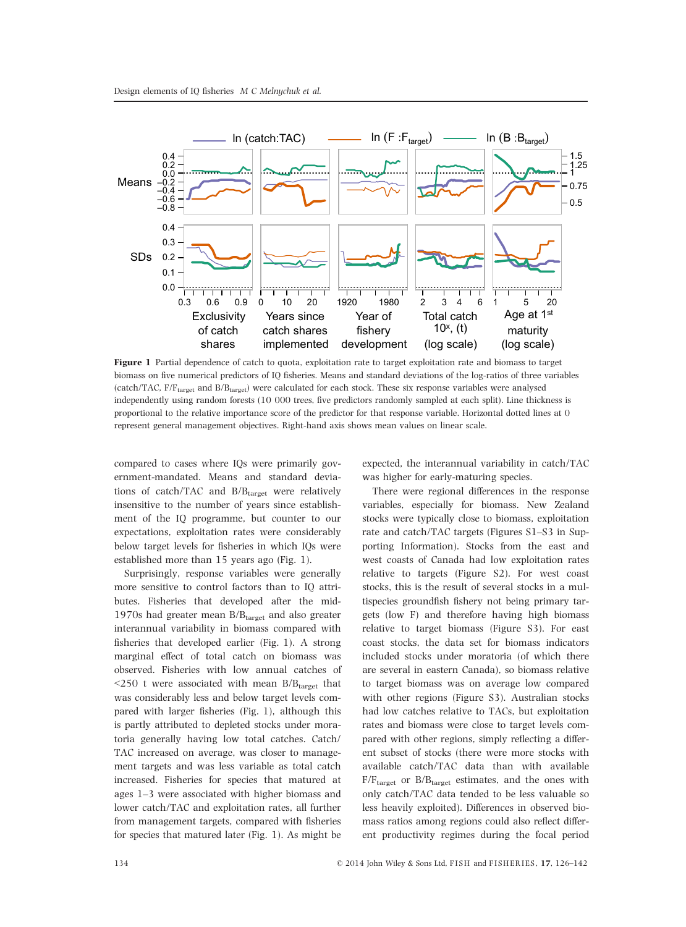

Figure 1 Partial dependence of catch to quota, exploitation rate to target exploitation rate and biomass to target biomass on five numerical predictors of IQ fisheries. Means and standard deviations of the log-ratios of three variables (catch/TAC,  $F/F_{\text{target}}$  and  $B/B_{\text{target}}$ ) were calculated for each stock. These six response variables were analysed independently using random forests (10 000 trees, five predictors randomly sampled at each split). Line thickness is proportional to the relative importance score of the predictor for that response variable. Horizontal dotted lines at 0 represent general management objectives. Right-hand axis shows mean values on linear scale.

compared to cases where IQs were primarily government-mandated. Means and standard deviations of catch/TAC and B/Btarget were relatively insensitive to the number of years since establishment of the IQ programme, but counter to our expectations, exploitation rates were considerably below target levels for fisheries in which IQs were established more than 15 years ago (Fig. 1).

Surprisingly, response variables were generally more sensitive to control factors than to IQ attributes. Fisheries that developed after the mid-1970s had greater mean B/Btarget and also greater interannual variability in biomass compared with fisheries that developed earlier (Fig. 1). A strong marginal effect of total catch on biomass was observed. Fisheries with low annual catches of  $\leq$ 250 t were associated with mean B/B<sub>target</sub> that was considerably less and below target levels compared with larger fisheries (Fig. 1), although this is partly attributed to depleted stocks under moratoria generally having low total catches. Catch/ TAC increased on average, was closer to management targets and was less variable as total catch increased. Fisheries for species that matured at ages 1–3 were associated with higher biomass and lower catch/TAC and exploitation rates, all further from management targets, compared with fisheries for species that matured later (Fig. 1). As might be

expected, the interannual variability in catch/TAC was higher for early-maturing species.

There were regional differences in the response variables, especially for biomass. New Zealand stocks were typically close to biomass, exploitation rate and catch/TAC targets (Figures S1–S3 in Supporting Information). Stocks from the east and west coasts of Canada had low exploitation rates relative to targets (Figure S2). For west coast stocks, this is the result of several stocks in a multispecies groundfish fishery not being primary targets (low F) and therefore having high biomass relative to target biomass (Figure S3). For east coast stocks, the data set for biomass indicators included stocks under moratoria (of which there are several in eastern Canada), so biomass relative to target biomass was on average low compared with other regions (Figure S3). Australian stocks had low catches relative to TACs, but exploitation rates and biomass were close to target levels compared with other regions, simply reflecting a different subset of stocks (there were more stocks with available catch/TAC data than with available  $F/F<sub>target</sub>$  or  $B/B<sub>target</sub>$  estimates, and the ones with only catch/TAC data tended to be less valuable so less heavily exploited). Differences in observed biomass ratios among regions could also reflect different productivity regimes during the focal period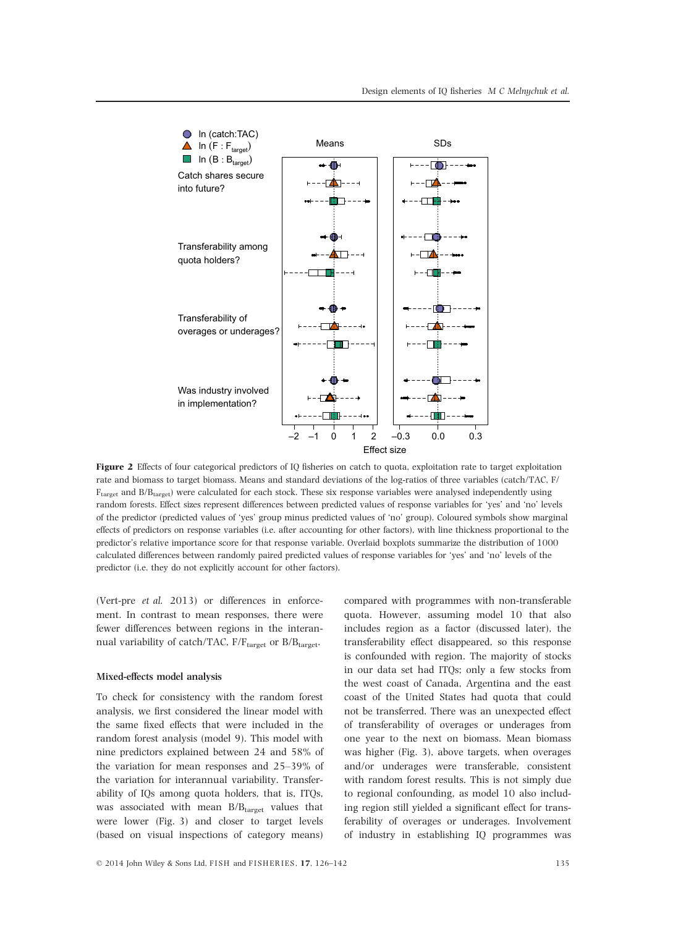

Figure 2 Effects of four categorical predictors of IO fisheries on catch to quota, exploitation rate to target exploitation rate and biomass to target biomass. Means and standard deviations of the log-ratios of three variables (catch/TAC, F/ Ftarget and B/Btarget) were calculated for each stock. These six response variables were analysed independently using random forests. Effect sizes represent differences between predicted values of response variables for 'yes' and 'no' levels of the predictor (predicted values of 'yes' group minus predicted values of 'no' group). Coloured symbols show marginal effects of predictors on response variables (i.e. after accounting for other factors), with line thickness proportional to the predictor's relative importance score for that response variable. Overlaid boxplots summarize the distribution of 1000 calculated differences between randomly paired predicted values of response variables for 'yes' and 'no' levels of the predictor (i.e. they do not explicitly account for other factors).

(Vert-pre et al. 2013) or differences in enforcement. In contrast to mean responses, there were fewer differences between regions in the interannual variability of catch/TAC,  $F/F_{\text{target}}$  or  $B/B_{\text{target}}$ .

## Mixed-effects model analysis

To check for consistency with the random forest analysis, we first considered the linear model with the same fixed effects that were included in the random forest analysis (model 9). This model with nine predictors explained between 24 and 58% of the variation for mean responses and 25–39% of the variation for interannual variability. Transferability of IQs among quota holders, that is, ITQs, was associated with mean  $B/B<sub>target</sub>$  values that were lower (Fig. 3) and closer to target levels (based on visual inspections of category means) compared with programmes with non-transferable quota. However, assuming model 10 that also includes region as a factor (discussed later), the transferability effect disappeared, so this response is confounded with region. The majority of stocks in our data set had ITQs; only a few stocks from the west coast of Canada, Argentina and the east coast of the United States had quota that could not be transferred. There was an unexpected effect of transferability of overages or underages from one year to the next on biomass. Mean biomass was higher (Fig. 3), above targets, when overages and/or underages were transferable, consistent with random forest results. This is not simply due to regional confounding, as model 10 also including region still yielded a significant effect for transferability of overages or underages. Involvement of industry in establishing IQ programmes was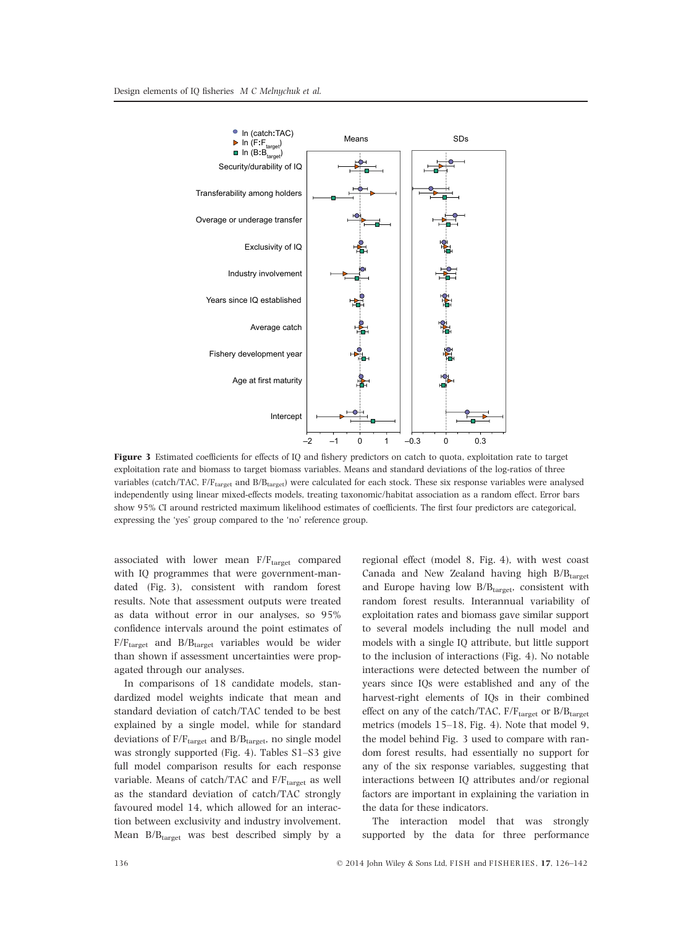

Figure 3 Estimated coefficients for effects of IQ and fishery predictors on catch to quota, exploitation rate to target exploitation rate and biomass to target biomass variables. Means and standard deviations of the log-ratios of three variables (catch/TAC, F/F<sub>target</sub> and B/B<sub>target</sub>) were calculated for each stock. These six response variables were analysed independently using linear mixed-effects models, treating taxonomic/habitat association as a random effect. Error bars show 95% CI around restricted maximum likelihood estimates of coefficients. The first four predictors are categorical, expressing the 'yes' group compared to the 'no' reference group.

associated with lower mean  $F/F_{target}$  compared with IQ programmes that were government-mandated (Fig. 3), consistent with random forest results. Note that assessment outputs were treated as data without error in our analyses, so 95% confidence intervals around the point estimates of  $F/F<sub>target</sub>$  and  $B/B<sub>target</sub>$  variables would be wider than shown if assessment uncertainties were propagated through our analyses.

In comparisons of 18 candidate models, standardized model weights indicate that mean and standard deviation of catch/TAC tended to be best explained by a single model, while for standard deviations of  $F/F_{\text{target}}$  and  $B/B_{\text{target}}$ , no single model was strongly supported (Fig. 4). Tables S1–S3 give full model comparison results for each response variable. Means of catch/TAC and  $F/F_{\text{target}}$  as well as the standard deviation of catch/TAC strongly favoured model 14, which allowed for an interaction between exclusivity and industry involvement. Mean B/Btarget was best described simply by a regional effect (model 8, Fig. 4), with west coast Canada and New Zealand having high  $B/B<sub>target</sub>$ and Europe having low B/B<sub>target</sub>, consistent with random forest results. Interannual variability of exploitation rates and biomass gave similar support to several models including the null model and models with a single IQ attribute, but little support to the inclusion of interactions (Fig. 4). No notable interactions were detected between the number of years since IQs were established and any of the harvest-right elements of IQs in their combined effect on any of the catch/TAC,  $F/F_{target}$  or  $B/B_{target}$ metrics (models 15–18, Fig. 4). Note that model 9, the model behind Fig. 3 used to compare with random forest results, had essentially no support for any of the six response variables, suggesting that interactions between IQ attributes and/or regional factors are important in explaining the variation in the data for these indicators.

The interaction model that was strongly supported by the data for three performance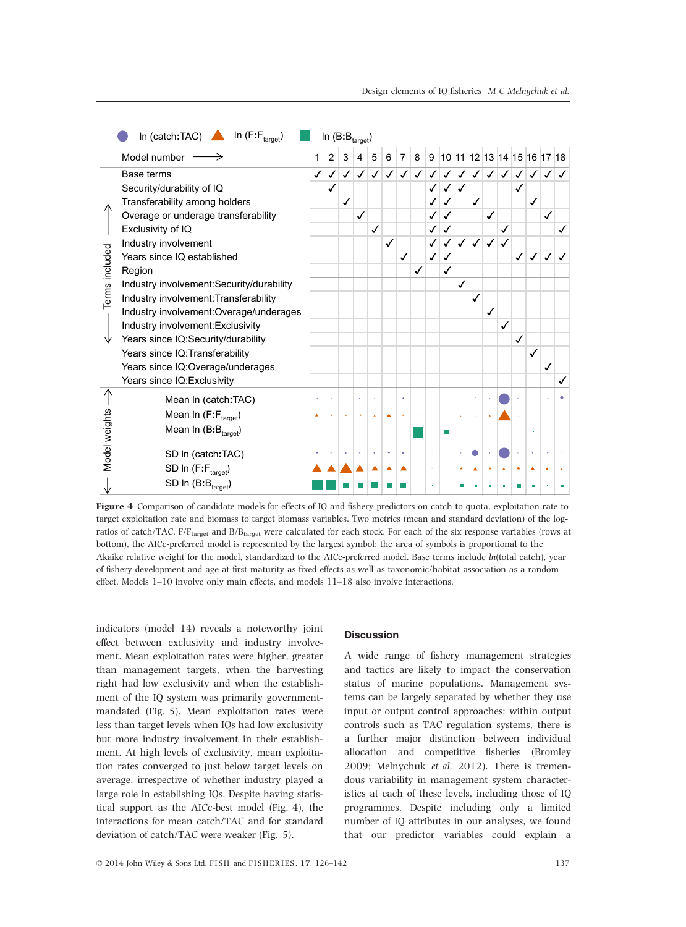|                | In (catch: TAC) $\qquad \qquad$ In (F:F <sub>target</sub> ) |   | In $(B:B_{\text{target}})$ |              |            |              |           |              |               |   |   |   |              |              |   |              |   |                            |   |
|----------------|-------------------------------------------------------------|---|----------------------------|--------------|------------|--------------|-----------|--------------|---------------|---|---|---|--------------|--------------|---|--------------|---|----------------------------|---|
|                | Model number                                                | 1 | $\overline{2}$             | 3            | 4          | 5            | 6         | 7            | 8             | 9 |   |   |              |              |   |              |   | 10 11 12 13 14 15 16 17 18 |   |
|                | Base terms                                                  | √ | $\checkmark$               | $\checkmark$ | $\sqrt{ }$ | $\checkmark$ | $\sqrt{}$ | $\checkmark$ | $\mathcal{L}$ | √ | √ | √ | $\checkmark$ | $\sqrt{ }$   | √ | $\checkmark$ |   |                            |   |
|                | Security/durability of IQ                                   |   | ✓                          |              |            |              |           |              |               | ✓ | ✓ | √ |              |              |   | ✓            |   |                            |   |
|                | Transferability among holders                               |   |                            | √            |            |              |           |              |               |   |   |   | ✓            |              |   |              | ✓ |                            |   |
|                | Overage or underage transferability                         |   |                            |              | ✓          |              |           |              |               | ✓ |   |   |              | √            |   |              |   | ✓                          |   |
|                | Exclusivity of IQ                                           |   |                            |              |            | √            |           |              |               | √ |   |   |              |              | √ |              |   |                            |   |
|                | Industry involvement                                        |   |                            |              |            |              | ✓         |              |               | ✓ |   | ✓ | $\checkmark$ | $\checkmark$ |   |              |   |                            |   |
|                | Years since IQ established                                  |   |                            |              |            |              |           | √            |               | ✓ |   |   |              |              |   | $\sqrt{ }$   |   |                            |   |
| Terms included | Region                                                      |   |                            |              |            |              |           |              | √             |   | J |   |              |              |   |              |   |                            |   |
|                | Industry involvement: Security/durability                   |   |                            |              |            |              |           |              |               |   |   | ✓ |              |              |   |              |   |                            |   |
|                | Industry involvement: Transferability                       |   |                            |              |            |              |           |              |               |   |   |   | ℐ            |              |   |              |   |                            |   |
|                | Industry involvement: Overage/underages                     |   |                            |              |            |              |           |              |               |   |   |   |              | ✓            |   |              |   |                            |   |
|                | Industry involvement: Exclusivity                           |   |                            |              |            |              |           |              |               |   |   |   |              |              | ✓ |              |   |                            |   |
|                | Years since IQ:Security/durability                          |   |                            |              |            |              |           |              |               |   |   |   |              |              |   | J            |   |                            |   |
|                | Years since IQ: Transferability                             |   |                            |              |            |              |           |              |               |   |   |   |              |              |   |              |   |                            |   |
|                | Years since IQ: Overage/underages                           |   |                            |              |            |              |           |              |               |   |   |   |              |              |   |              |   | ✓                          |   |
|                | Years since IQ: Exclusivity                                 |   |                            |              |            |              |           |              |               |   |   |   |              |              |   |              |   |                            | ✓ |
| 个              | Mean In (catch:TAC)                                         |   |                            |              |            |              |           | ٠            |               |   |   |   |              |              |   |              |   |                            |   |
|                | Mean In (F:F <sub>target</sub> )                            | ٨ |                            |              |            |              |           |              |               |   |   |   |              |              |   |              |   |                            |   |
|                | Mean In (B:B <sub>target</sub> )                            |   |                            |              |            |              |           |              |               |   |   |   |              |              |   |              |   |                            |   |
| Model weights  | SD In (catch:TAC)                                           |   |                            |              |            |              |           | ٠            |               |   |   |   |              |              |   |              |   |                            |   |
|                | SD In (F:Ftarget)                                           |   |                            |              |            |              |           |              |               |   |   | A |              |              |   |              |   |                            |   |
| ٦V             | SD In (B:B <sub>target</sub> )                              |   |                            |              |            |              |           |              |               |   |   |   |              |              |   |              |   |                            |   |

Figure 4 Comparison of candidate models for effects of IQ and fishery predictors on catch to quota, exploitation rate to target exploitation rate and biomass to target biomass variables. Two metrics (mean and standard deviation) of the logratios of catch/TAC,  $F/F_{\text{target}}$  and  $B/B_{\text{target}}$  were calculated for each stock. For each of the six response variables (rows at bottom), the AICc-preferred model is represented by the largest symbol; the area of symbols is proportional to the Akaike relative weight for the model, standardized to the AICc-preferred model. Base terms include ln(total catch), year of fishery development and age at first maturity as fixed effects as well as taxonomic/habitat association as a random effect. Models 1–10 involve only main effects, and models 11–18 also involve interactions.

indicators (model 14) reveals a noteworthy joint effect between exclusivity and industry involvement. Mean exploitation rates were higher, greater than management targets, when the harvesting right had low exclusivity and when the establishment of the IQ system was primarily governmentmandated (Fig. 5). Mean exploitation rates were less than target levels when IQs had low exclusivity but more industry involvement in their establishment. At high levels of exclusivity, mean exploitation rates converged to just below target levels on average, irrespective of whether industry played a large role in establishing IQs. Despite having statistical support as the AICc-best model (Fig. 4), the interactions for mean catch/TAC and for standard deviation of catch/TAC were weaker (Fig. 5).

## **Discussion**

A wide range of fishery management strategies and tactics are likely to impact the conservation status of marine populations. Management systems can be largely separated by whether they use input or output control approaches; within output controls such as TAC regulation systems, there is a further major distinction between individual allocation and competitive fisheries (Bromley 2009; Melnychuk et al. 2012). There is tremendous variability in management system characteristics at each of these levels, including those of IQ programmes. Despite including only a limited number of IQ attributes in our analyses, we found that our predictor variables could explain a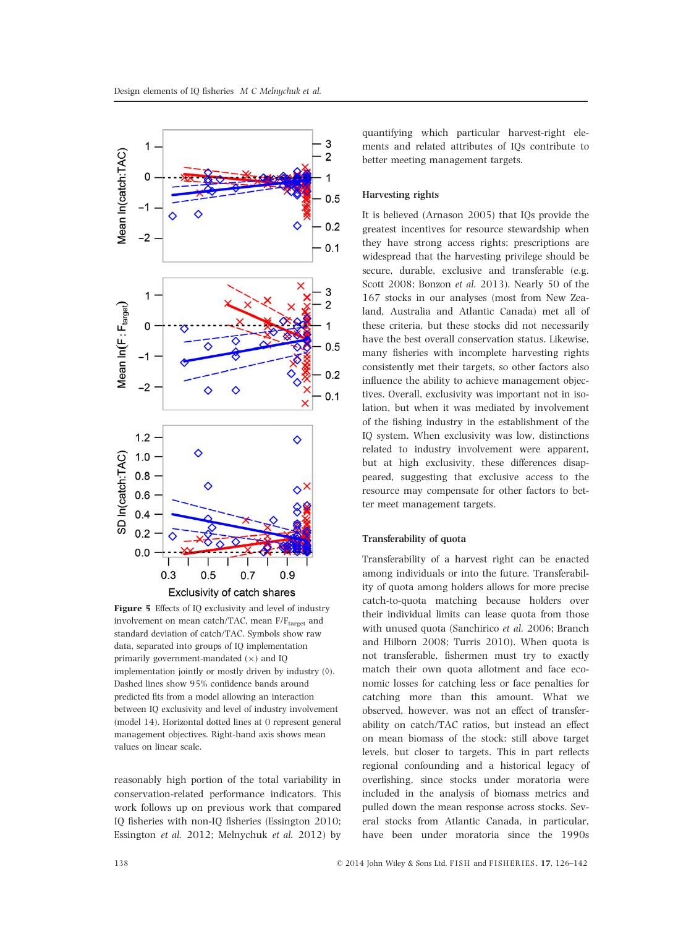

Figure 5 Effects of IO exclusivity and level of industry involvement on mean catch/TAC, mean  $F/F_{target}$  and standard deviation of catch/TAC. Symbols show raw data, separated into groups of IQ implementation primarily government-mandated  $(x)$  and IO implementation jointly or mostly driven by industry  $( \Diamond ).$ Dashed lines show 95% confidence bands around predicted fits from a model allowing an interaction between IQ exclusivity and level of industry involvement (model 14). Horizontal dotted lines at 0 represent general management objectives. Right-hand axis shows mean values on linear scale.

reasonably high portion of the total variability in conservation-related performance indicators. This work follows up on previous work that compared IQ fisheries with non-IQ fisheries (Essington 2010; Essington et al. 2012; Melnychuk et al. 2012) by

quantifying which particular harvest-right elements and related attributes of IQs contribute to better meeting management targets.

#### Harvesting rights

It is believed (Arnason 2005) that IQs provide the greatest incentives for resource stewardship when they have strong access rights; prescriptions are widespread that the harvesting privilege should be secure, durable, exclusive and transferable (e.g. Scott 2008; Bonzon et al. 2013). Nearly 50 of the 167 stocks in our analyses (most from New Zealand, Australia and Atlantic Canada) met all of these criteria, but these stocks did not necessarily have the best overall conservation status. Likewise, many fisheries with incomplete harvesting rights consistently met their targets, so other factors also influence the ability to achieve management objectives. Overall, exclusivity was important not in isolation, but when it was mediated by involvement of the fishing industry in the establishment of the IQ system. When exclusivity was low, distinctions related to industry involvement were apparent, but at high exclusivity, these differences disappeared, suggesting that exclusive access to the resource may compensate for other factors to better meet management targets.

## Transferability of quota

Transferability of a harvest right can be enacted among individuals or into the future. Transferability of quota among holders allows for more precise catch-to-quota matching because holders over their individual limits can lease quota from those with unused quota (Sanchirico et al. 2006; Branch and Hilborn 2008; Turris 2010). When quota is not transferable, fishermen must try to exactly match their own quota allotment and face economic losses for catching less or face penalties for catching more than this amount. What we observed, however, was not an effect of transferability on catch/TAC ratios, but instead an effect on mean biomass of the stock: still above target levels, but closer to targets. This in part reflects regional confounding and a historical legacy of overfishing, since stocks under moratoria were included in the analysis of biomass metrics and pulled down the mean response across stocks. Several stocks from Atlantic Canada, in particular, have been under moratoria since the 1990s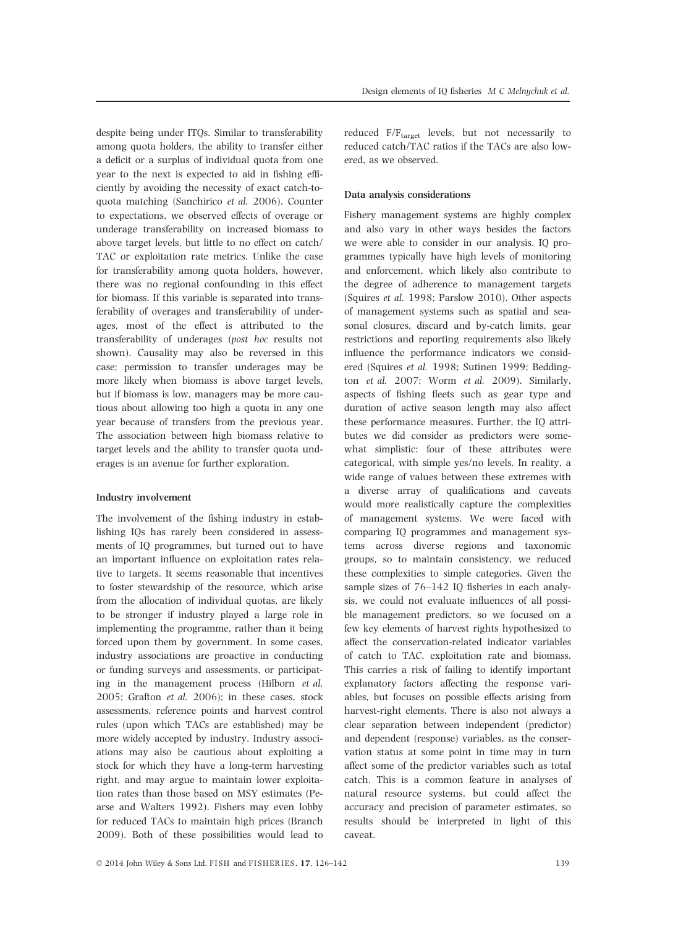despite being under ITQs. Similar to transferability among quota holders, the ability to transfer either a deficit or a surplus of individual quota from one year to the next is expected to aid in fishing efficiently by avoiding the necessity of exact catch-toquota matching (Sanchirico et al. 2006). Counter to expectations, we observed effects of overage or underage transferability on increased biomass to above target levels, but little to no effect on catch/ TAC or exploitation rate metrics. Unlike the case for transferability among quota holders, however, there was no regional confounding in this effect for biomass. If this variable is separated into transferability of overages and transferability of underages, most of the effect is attributed to the transferability of underages (post hoc results not shown). Causality may also be reversed in this case; permission to transfer underages may be more likely when biomass is above target levels, but if biomass is low, managers may be more cautious about allowing too high a quota in any one year because of transfers from the previous year. The association between high biomass relative to target levels and the ability to transfer quota underages is an avenue for further exploration.

#### Industry involvement

The involvement of the fishing industry in establishing IQs has rarely been considered in assessments of IQ programmes, but turned out to have an important influence on exploitation rates relative to targets. It seems reasonable that incentives to foster stewardship of the resource, which arise from the allocation of individual quotas, are likely to be stronger if industry played a large role in implementing the programme, rather than it being forced upon them by government. In some cases, industry associations are proactive in conducting or funding surveys and assessments, or participating in the management process (Hilborn et al. 2005; Grafton et al. 2006); in these cases, stock assessments, reference points and harvest control rules (upon which TACs are established) may be more widely accepted by industry. Industry associations may also be cautious about exploiting a stock for which they have a long-term harvesting right, and may argue to maintain lower exploitation rates than those based on MSY estimates (Pearse and Walters 1992). Fishers may even lobby for reduced TACs to maintain high prices (Branch 2009). Both of these possibilities would lead to reduced F/Ftarget levels, but not necessarily to reduced catch/TAC ratios if the TACs are also lowered, as we observed.

#### Data analysis considerations

Fishery management systems are highly complex and also vary in other ways besides the factors we were able to consider in our analysis. IQ programmes typically have high levels of monitoring and enforcement, which likely also contribute to the degree of adherence to management targets (Squires et al. 1998; Parslow 2010). Other aspects of management systems such as spatial and seasonal closures, discard and by-catch limits, gear restrictions and reporting requirements also likely influence the performance indicators we considered (Squires et al. 1998; Sutinen 1999; Beddington et al. 2007; Worm et al. 2009). Similarly, aspects of fishing fleets such as gear type and duration of active season length may also affect these performance measures. Further, the IQ attributes we did consider as predictors were somewhat simplistic: four of these attributes were categorical, with simple yes/no levels. In reality, a wide range of values between these extremes with a diverse array of qualifications and caveats would more realistically capture the complexities of management systems. We were faced with comparing IQ programmes and management systems across diverse regions and taxonomic groups, so to maintain consistency, we reduced these complexities to simple categories. Given the sample sizes of 76–142 IQ fisheries in each analysis, we could not evaluate influences of all possible management predictors, so we focused on a few key elements of harvest rights hypothesized to affect the conservation-related indicator variables of catch to TAC, exploitation rate and biomass. This carries a risk of failing to identify important explanatory factors affecting the response variables, but focuses on possible effects arising from harvest-right elements. There is also not always a clear separation between independent (predictor) and dependent (response) variables, as the conservation status at some point in time may in turn affect some of the predictor variables such as total catch. This is a common feature in analyses of natural resource systems, but could affect the accuracy and precision of parameter estimates, so results should be interpreted in light of this caveat.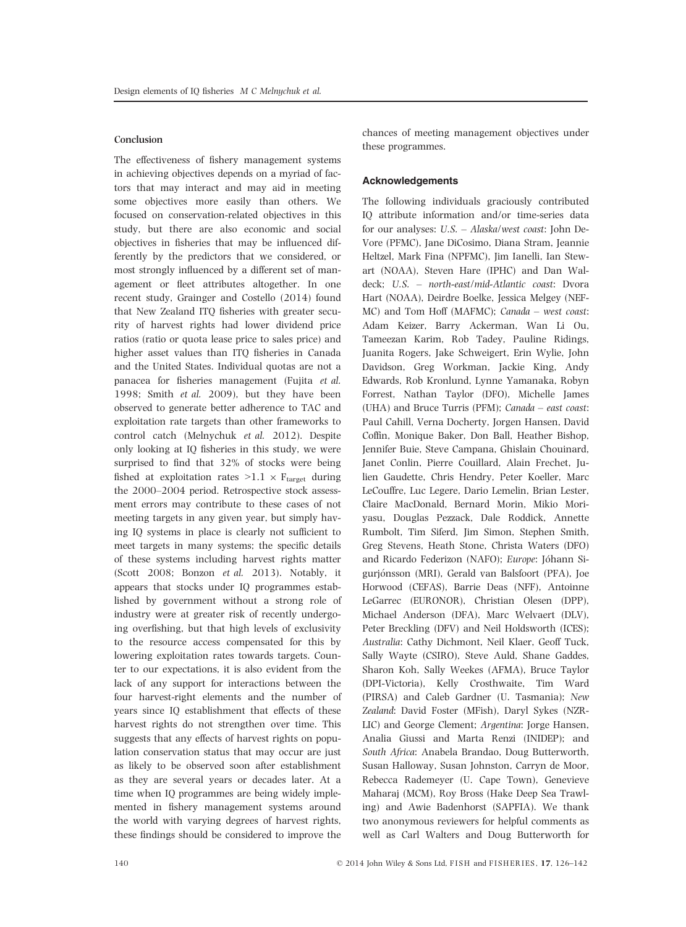# Conclusion

The effectiveness of fishery management systems in achieving objectives depends on a myriad of factors that may interact and may aid in meeting some objectives more easily than others. We focused on conservation-related objectives in this study, but there are also economic and social objectives in fisheries that may be influenced differently by the predictors that we considered, or most strongly influenced by a different set of management or fleet attributes altogether. In one recent study, Grainger and Costello (2014) found that New Zealand ITQ fisheries with greater security of harvest rights had lower dividend price ratios (ratio or quota lease price to sales price) and higher asset values than ITQ fisheries in Canada and the United States. Individual quotas are not a panacea for fisheries management (Fujita et al. 1998; Smith et al. 2009), but they have been observed to generate better adherence to TAC and exploitation rate targets than other frameworks to control catch (Melnychuk et al. 2012). Despite only looking at IQ fisheries in this study, we were surprised to find that 32% of stocks were being fished at exploitation rates >1.1  $\times$  F<sub>target</sub> during the 2000–2004 period. Retrospective stock assessment errors may contribute to these cases of not meeting targets in any given year, but simply having IQ systems in place is clearly not sufficient to meet targets in many systems; the specific details of these systems including harvest rights matter (Scott 2008; Bonzon et al. 2013). Notably, it appears that stocks under IQ programmes established by government without a strong role of industry were at greater risk of recently undergoing overfishing, but that high levels of exclusivity to the resource access compensated for this by lowering exploitation rates towards targets. Counter to our expectations, it is also evident from the lack of any support for interactions between the four harvest-right elements and the number of years since IQ establishment that effects of these harvest rights do not strengthen over time. This suggests that any effects of harvest rights on population conservation status that may occur are just as likely to be observed soon after establishment as they are several years or decades later. At a time when IQ programmes are being widely implemented in fishery management systems around the world with varying degrees of harvest rights, these findings should be considered to improve the

chances of meeting management objectives under these programmes.

## Acknowledgements

The following individuals graciously contributed IQ attribute information and/or time-series data for our analyses: U.S. – Alaska/west coast: John De-Vore (PFMC), Jane DiCosimo, Diana Stram, Jeannie Heltzel, Mark Fina (NPFMC), Jim Ianelli, Ian Stewart (NOAA), Steven Hare (IPHC) and Dan Waldeck; U.S. – north-east/mid-Atlantic coast: Dvora Hart (NOAA), Deirdre Boelke, Jessica Melgey (NEF-MC) and Tom Hoff (MAFMC); Canada – west coast: Adam Keizer, Barry Ackerman, Wan Li Ou, Tameezan Karim, Rob Tadey, Pauline Ridings, Juanita Rogers, Jake Schweigert, Erin Wylie, John Davidson, Greg Workman, Jackie King, Andy Edwards, Rob Kronlund, Lynne Yamanaka, Robyn Forrest, Nathan Taylor (DFO), Michelle James (UHA) and Bruce Turris (PFM); Canada – east coast: Paul Cahill, Verna Docherty, Jorgen Hansen, David Coffin, Monique Baker, Don Ball, Heather Bishop, Jennifer Buie, Steve Campana, Ghislain Chouinard, Janet Conlin, Pierre Couillard, Alain Frechet, Julien Gaudette, Chris Hendry, Peter Koeller, Marc LeCouffre, Luc Legere, Dario Lemelin, Brian Lester, Claire MacDonald, Bernard Morin, Mikio Moriyasu, Douglas Pezzack, Dale Roddick, Annette Rumbolt, Tim Siferd, Jim Simon, Stephen Smith, Greg Stevens, Heath Stone, Christa Waters (DFO) and Ricardo Federizon (NAFO); Europe: Jóhann Sigurjónsson (MRI), Gerald van Balsfoort (PFA), Joe Horwood (CEFAS), Barrie Deas (NFF), Antoinne LeGarrec (EURONOR), Christian Olesen (DPP), Michael Anderson (DFA), Marc Welvaert (DLV), Peter Breckling (DFV) and Neil Holdsworth (ICES); Australia: Cathy Dichmont, Neil Klaer, Geoff Tuck, Sally Wayte (CSIRO), Steve Auld, Shane Gaddes, Sharon Koh, Sally Weekes (AFMA), Bruce Taylor (DPI-Victoria), Kelly Crosthwaite, Tim Ward (PIRSA) and Caleb Gardner (U. Tasmania); New Zealand: David Foster (MFish), Daryl Sykes (NZR-LIC) and George Clement; Argentina: Jorge Hansen, Analia Giussi and Marta Renzi (INIDEP); and South Africa: Anabela Brandao, Doug Butterworth, Susan Halloway, Susan Johnston, Carryn de Moor, Rebecca Rademeyer (U. Cape Town), Genevieve Maharaj (MCM), Roy Bross (Hake Deep Sea Trawling) and Awie Badenhorst (SAPFIA). We thank two anonymous reviewers for helpful comments as well as Carl Walters and Doug Butterworth for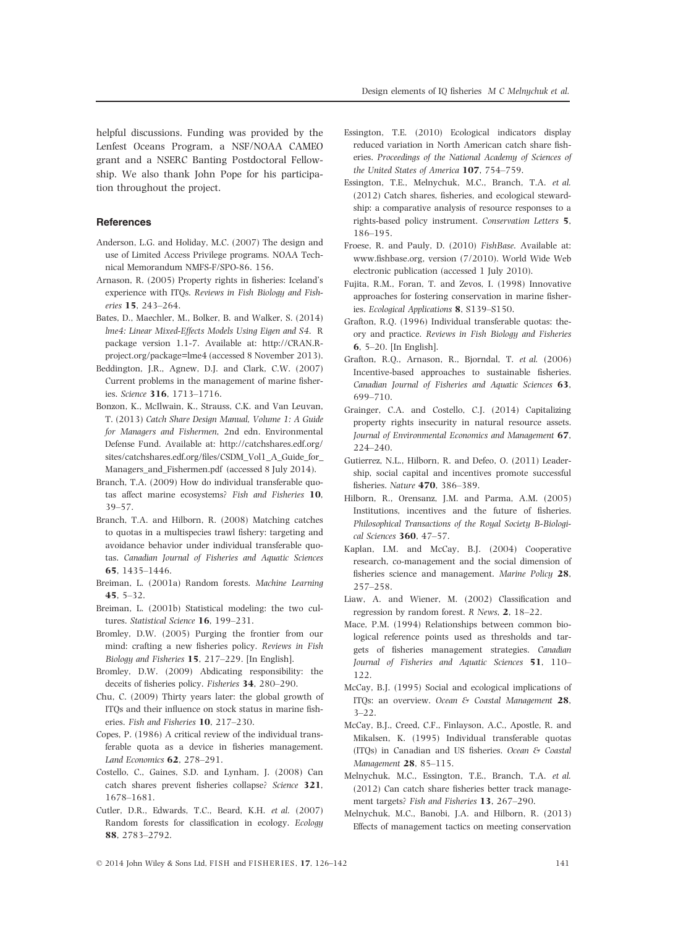helpful discussions. Funding was provided by the Lenfest Oceans Program, a NSF/NOAA CAMEO grant and a NSERC Banting Postdoctoral Fellowship. We also thank John Pope for his participation throughout the project.

#### **References**

- Anderson, L.G. and Holiday, M.C. (2007) The design and use of Limited Access Privilege programs. NOAA Technical Memorandum NMFS-F/SPO-86. 156.
- Arnason, R. (2005) Property rights in fisheries: Iceland's experience with ITQs. Reviews in Fish Biology and Fisheries 15, 243–264.
- Bates, D., Maechler, M., Bolker, B. and Walker, S. (2014) lme4: Linear Mixed-Effects Models Using Eigen and S4. R package version 1.1-7. Available at: http://CRAN.Rproject.org/package=lme4 (accessed 8 November 2013).
- Beddington, J.R., Agnew, D.J. and Clark, C.W. (2007) Current problems in the management of marine fisheries. Science 316, 1713–1716.
- Bonzon, K., McIlwain, K., Strauss, C.K. and Van Leuvan, T. (2013) Catch Share Design Manual, Volume 1: A Guide for Managers and Fishermen, 2nd edn. Environmental Defense Fund. Available at: http://catchshares.edf.org/ sites/catchshares.edf.org/files/CSDM\_Vol1\_A\_Guide\_for\_ Managers\_and\_Fishermen.pdf (accessed 8 July 2014).
- Branch, T.A. (2009) How do individual transferable quotas affect marine ecosystems? Fish and Fisheries 10, 39–57.
- Branch, T.A. and Hilborn, R. (2008) Matching catches to quotas in a multispecies trawl fishery: targeting and avoidance behavior under individual transferable quotas. Canadian Journal of Fisheries and Aquatic Sciences 65, 1435–1446.
- Breiman, L. (2001a) Random forests. Machine Learning 45, 5–32.
- Breiman, L. (2001b) Statistical modeling: the two cultures. Statistical Science 16, 199–231.
- Bromley, D.W. (2005) Purging the frontier from our mind: crafting a new fisheries policy. Reviews in Fish Biology and Fisheries 15, 217–229. [In English].
- Bromley, D.W. (2009) Abdicating responsibility: the deceits of fisheries policy. Fisheries 34, 280–290.
- Chu, C. (2009) Thirty years later: the global growth of ITQs and their influence on stock status in marine fisheries. Fish and Fisheries 10, 217–230.
- Copes, P. (1986) A critical review of the individual transferable quota as a device in fisheries management. Land Economics 62, 278–291.
- Costello, C., Gaines, S.D. and Lynham, J. (2008) Can catch shares prevent fisheries collapse? Science 321, 1678–1681.
- Cutler, D.R., Edwards, T.C., Beard, K.H. et al. (2007) Random forests for classification in ecology. Ecology 88, 2783–2792.
- Essington, T.E. (2010) Ecological indicators display reduced variation in North American catch share fisheries. Proceedings of the National Academy of Sciences of the United States of America 107, 754–759.
- Essington, T.E., Melnychuk, M.C., Branch, T.A. et al. (2012) Catch shares, fisheries, and ecological stewardship: a comparative analysis of resource responses to a rights-based policy instrument. Conservation Letters 5, 186–195.
- Froese, R. and Pauly, D. (2010) FishBase. Available at: www.fishbase.org, version (7/2010). World Wide Web electronic publication (accessed 1 July 2010).
- Fujita, R.M., Foran, T. and Zevos, I. (1998) Innovative approaches for fostering conservation in marine fisheries. Ecological Applications 8, S139–S150.
- Grafton, R.Q. (1996) Individual transferable quotas: theory and practice. Reviews in Fish Biology and Fisheries 6, 5–20. [In English].
- Grafton, R.Q., Arnason, R., Bjorndal, T. et al. (2006) Incentive-based approaches to sustainable fisheries. Canadian Journal of Fisheries and Aquatic Sciences 63, 699–710.
- Grainger, C.A. and Costello, C.J. (2014) Capitalizing property rights insecurity in natural resource assets. Journal of Environmental Economics and Management 67, 224–240.
- Gutierrez, N.L., Hilborn, R. and Defeo, O. (2011) Leadership, social capital and incentives promote successful fisheries. Nature 470, 386–389.
- Hilborn, R., Orensanz, J.M. and Parma, A.M. (2005) Institutions, incentives and the future of fisheries. Philosophical Transactions of the Royal Society B-Biological Sciences 360, 47–57.
- Kaplan, I.M. and McCay, B.J. (2004) Cooperative research, co-management and the social dimension of fisheries science and management. Marine Policy 28, 257–258.
- Liaw, A. and Wiener, M. (2002) Classification and regression by random forest. R News, 2, 18–22.
- Mace, P.M. (1994) Relationships between common biological reference points used as thresholds and targets of fisheries management strategies. Canadian Journal of Fisheries and Aquatic Sciences 51, 110– 122.
- McCay, B.J. (1995) Social and ecological implications of ITQs: an overview. Ocean & Coastal Management 28, 3–22.
- McCay, B.J., Creed, C.F., Finlayson, A.C., Apostle, R. and Mikalsen, K. (1995) Individual transferable quotas (ITQs) in Canadian and US fisheries. Ocean & Coastal Management 28, 85–115.
- Melnychuk, M.C., Essington, T.E., Branch, T.A. et al. (2012) Can catch share fisheries better track management targets? Fish and Fisheries 13, 267–290.
- Melnychuk, M.C., Banobi, J.A. and Hilborn, R. (2013) Effects of management tactics on meeting conservation